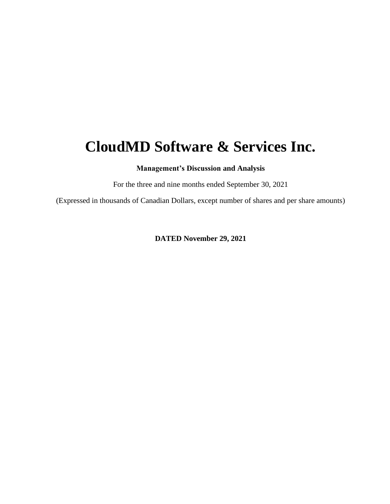# **CloudMD Software & Services Inc.**

**Management's Discussion and Analysis**

For the three and nine months ended September 30, 2021

(Expressed in thousands of Canadian Dollars, except number of shares and per share amounts)

**DATED November 29, 2021**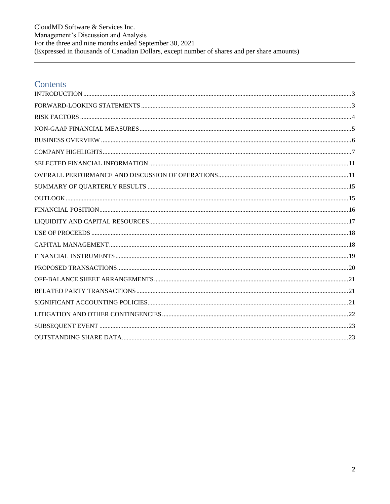CloudMD Software & Services Inc. Management's Discussion and Analysis For the three and nine months ended September 30, 2021<br>(Expressed in thousands of Canadian Dollars, except number of shares and per share amounts)

### Contents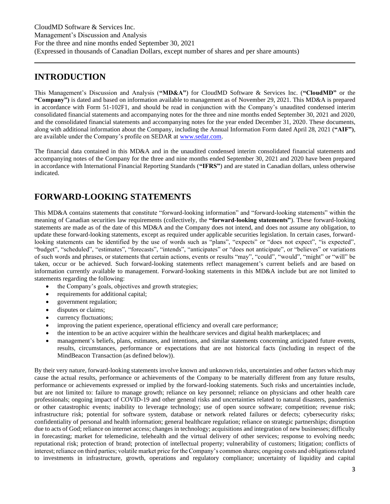### <span id="page-2-0"></span>**INTRODUCTION**

This Management's Discussion and Analysis (**"MD&A"**) for CloudMD Software & Services Inc. (**"CloudMD"** or the **"Company")** is dated and based on information available to management as of November 29, 2021. This MD&A is prepared in accordance with Form 51-102F1, and should be read in conjunction with the Company's unaudited condensed interim consolidated financial statements and accompanying notes for the three and nine months ended September 30, 2021 and 2020, and the consolidated financial statements and accompanying notes for the year ended December 31, 2020. These documents, along with additional information about the Company, including the Annual Information Form dated April 28, 2021 (**"AIF")**, are available under the Company's profile on SEDAR at [www.sedar.com.](http://www.sedar.com/)

The financial data contained in this MD&A and in the unaudited condensed interim consolidated financial statements and accompanying notes of the Company for the three and nine months ended September 30, 2021 and 2020 have been prepared in accordance with International Financial Reporting Standards (**"IFRS"**) and are stated in Canadian dollars, unless otherwise indicated.

# <span id="page-2-1"></span>**FORWARD-LOOKING STATEMENTS**

This MD&A contains statements that constitute "forward-looking information" and "forward-looking statements" within the meaning of Canadian securities law requirements (collectively, the **"forward-looking statements"**). These forward-looking statements are made as of the date of this MD&A and the Company does not intend, and does not assume any obligation, to update these forward-looking statements, except as required under applicable securities legislation. In certain cases, forwardlooking statements can be identified by the use of words such as "plans", "expects" or "does not expect", "is expected", "budget", "scheduled", "estimates", "forecasts", "intends", "anticipates" or "does not anticipate", or "believes" or variations of such words and phrases, or statements that certain actions, events or results "may", "could", "would", "might" or "will" be taken, occur or be achieved. Such forward-looking statements reflect management's current beliefs and are based on information currently available to management. Forward-looking statements in this MD&A include but are not limited to statements regarding the following:

- the Company's goals, objectives and growth strategies;
- requirements for additional capital;
- government regulation;
- disputes or claims;
- currency fluctuations;
- improving the patient experience, operational efficiency and overall care performance;
- the intention to be an active acquirer within the healthcare services and digital health marketplaces; and
- management's beliefs, plans, estimates, and intentions, and similar statements concerning anticipated future events, results, circumstances, performance or expectations that are not historical facts (including in respect of the MindBeacon Transaction (as defined below)).

By their very nature, forward-looking statements involve known and unknown risks, uncertainties and other factors which may cause the actual results, performance or achievements of the Company to be materially different from any future results, performance or achievements expressed or implied by the forward-looking statements. Such risks and uncertainties include, but are not limited to: failure to manage growth; reliance on key personnel; reliance on physicians and other health care professionals; ongoing impact of COVID-19 and other general risks and uncertainties related to natural disasters, pandemics or other catastrophic events; inability to leverage technology; use of open source software; competition; revenue risk; infrastructure risk; potential for software system, database or network related failures or defects; cybersecurity risks; confidentiality of personal and health information; general healthcare regulation; reliance on strategic partnerships; disruption due to acts of God; reliance on internet access; changes in technology; acquisitions and integration of new businesses; difficulty in forecasting; market for telemedicine, telehealth and the virtual delivery of other services; response to evolving needs; reputational risk; protection of brand; protection of intellectual property; vulnerability of customers; litigation; conflicts of interest; reliance on third parties; volatile market price for the Company's common shares; ongoing costs and obligations related to investments in infrastructure, growth, operations and regulatory compliance; uncertainty of liquidity and capital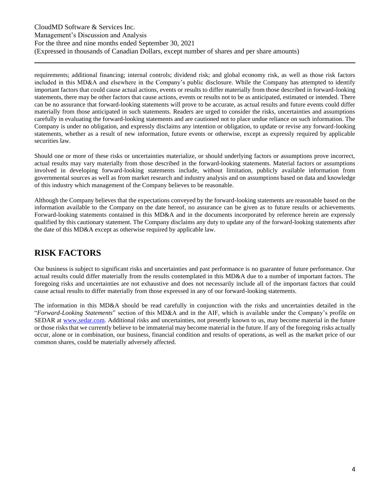requirements; additional financing; internal controls; dividend risk; and global economy risk, as well as those risk factors included in this MD&A and elsewhere in the Company's public disclosure. While the Company has attempted to identify important factors that could cause actual actions, events or results to differ materially from those described in forward-looking statements, there may be other factors that cause actions, events or results not to be as anticipated, estimated or intended. There can be no assurance that forward-looking statements will prove to be accurate, as actual results and future events could differ materially from those anticipated in such statements. Readers are urged to consider the risks, uncertainties and assumptions carefully in evaluating the forward-looking statements and are cautioned not to place undue reliance on such information. The Company is under no obligation, and expressly disclaims any intention or obligation, to update or revise any forward-looking statements, whether as a result of new information, future events or otherwise, except as expressly required by applicable securities law.

Should one or more of these risks or uncertainties materialize, or should underlying factors or assumptions prove incorrect, actual results may vary materially from those described in the forward-looking statements. Material factors or assumptions involved in developing forward-looking statements include, without limitation, publicly available information from governmental sources as well as from market research and industry analysis and on assumptions based on data and knowledge of this industry which management of the Company believes to be reasonable.

Although the Company believes that the expectations conveyed by the forward-looking statements are reasonable based on the information available to the Company on the date hereof, no assurance can be given as to future results or achievements. Forward-looking statements contained in this MD&A and in the documents incorporated by reference herein are expressly qualified by this cautionary statement. The Company disclaims any duty to update any of the forward-looking statements after the date of this MD&A except as otherwise required by applicable law.

### <span id="page-3-0"></span>**RISK FACTORS**

Our business is subject to significant risks and uncertainties and past performance is no guarantee of future performance. Our actual results could differ materially from the results contemplated in this MD&A due to a number of important factors. The foregoing risks and uncertainties are not exhaustive and does not necessarily include all of the important factors that could cause actual results to differ materially from those expressed in any of our forward-looking statements.

The information in this MD&A should be read carefully in conjunction with the risks and uncertainties detailed in the "*Forward-Looking Statements*" section of this MD&A and in the AIF, which is available under the Company's profile on SEDAR at [www.sedar.com.](http://www.sedar.com/) Additional risks and uncertainties, not presently known to us, may become material in the future or those risks that we currently believe to be immaterial may become material in the future. If any of the foregoing risks actually occur, alone or in combination, our business, financial condition and results of operations, as well as the market price of our common shares, could be materially adversely affected.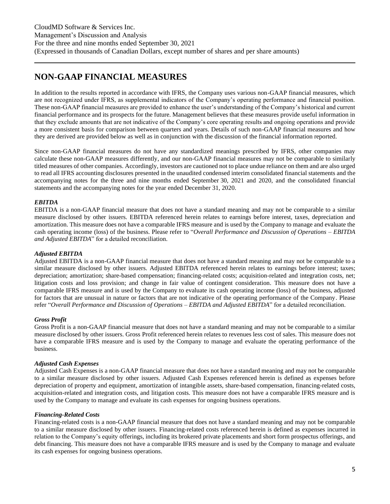### <span id="page-4-0"></span>**NON-GAAP FINANCIAL MEASURES**

In addition to the results reported in accordance with IFRS, the Company uses various non-GAAP financial measures, which are not recognized under IFRS, as supplemental indicators of the Company's operating performance and financial position. These non-GAAP financial measures are provided to enhance the user's understanding of the Company's historical and current financial performance and its prospects for the future. Management believes that these measures provide useful information in that they exclude amounts that are not indicative of the Company's core operating results and ongoing operations and provide a more consistent basis for comparison between quarters and years. Details of such non-GAAP financial measures and how they are derived are provided below as well as in conjunction with the discussion of the financial information reported.

Since non-GAAP financial measures do not have any standardized meanings prescribed by IFRS, other companies may calculate these non-GAAP measures differently, and our non-GAAP financial measures may not be comparable to similarly titled measures of other companies. Accordingly, investors are cautioned not to place undue reliance on them and are also urged to read all IFRS accounting disclosures presented in the unaudited condensed interim consolidated financial statements and the accompanying notes for the three and nine months ended September 30, 2021 and 2020, and the consolidated financial statements and the accompanying notes for the year ended December 31, 2020.

### *EBITDA*

EBITDA is a non-GAAP financial measure that does not have a standard meaning and may not be comparable to a similar measure disclosed by other issuers. EBITDA referenced herein relates to earnings before interest, taxes, depreciation and amortization. This measure does not have a comparable IFRS measure and is used by the Company to manage and evaluate the cash operating income (loss) of the business. Please refer to "*Overall Performance and Discussion of Operations – EBITDA and Adjusted EBITDA*" for a detailed reconciliation.

### *Adjusted EBITDA*

Adjusted EBITDA is a non-GAAP financial measure that does not have a standard meaning and may not be comparable to a similar measure disclosed by other issuers. Adjusted EBITDA referenced herein relates to earnings before interest; taxes; depreciation; amortization; share-based compensation; financing-related costs; acquisition-related and integration costs, net; litigation costs and loss provision; and change in fair value of contingent consideration. This measure does not have a comparable IFRS measure and is used by the Company to evaluate its cash operating income (loss) of the business, adjusted for factors that are unusual in nature or factors that are not indicative of the operating performance of the Company. Please refer "*Overall Performance and Discussion of Operations – EBITDA and Adjusted EBITDA*" for a detailed reconciliation.

### *Gross Profit*

Gross Profit is a non-GAAP financial measure that does not have a standard meaning and may not be comparable to a similar measure disclosed by other issuers. Gross Profit referenced herein relates to revenues less cost of sales. This measure does not have a comparable IFRS measure and is used by the Company to manage and evaluate the operating performance of the business.

### *Adjusted Cash Expenses*

Adjusted Cash Expenses is a non-GAAP financial measure that does not have a standard meaning and may not be comparable to a similar measure disclosed by other issuers. Adjusted Cash Expenses referenced herein is defined as expenses before depreciation of property and equipment, amortization of intangible assets, share-based compensation, financing-related costs, acquisition-related and integration costs, and litigation costs. This measure does not have a comparable IFRS measure and is used by the Company to manage and evaluate its cash expenses for ongoing business operations.

### *Financing-Related Costs*

Financing-related costs is a non-GAAP financial measure that does not have a standard meaning and may not be comparable to a similar measure disclosed by other issuers. Financing-related costs referenced herein is defined as expenses incurred in relation to the Company's equity offerings, including its brokered private placements and short form prospectus offerings, and debt financing. This measure does not have a comparable IFRS measure and is used by the Company to manage and evaluate its cash expenses for ongoing business operations.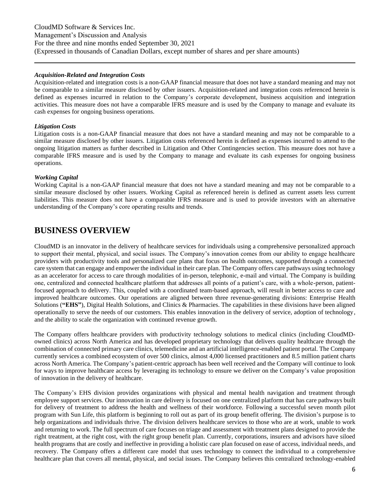CloudMD Software & Services Inc. Management's Discussion and Analysis For the three and nine months ended September 30, 2021 (Expressed in thousands of Canadian Dollars, except number of shares and per share amounts)

#### *Acquisition-Related and Integration Costs*

Acquisition-related and integration costs is a non-GAAP financial measure that does not have a standard meaning and may not be comparable to a similar measure disclosed by other issuers. Acquisition-related and integration costs referenced herein is defined as expenses incurred in relation to the Company's corporate development, business acquisition and integration activities. This measure does not have a comparable IFRS measure and is used by the Company to manage and evaluate its cash expenses for ongoing business operations.

### *Litigation Costs*

Litigation costs is a non-GAAP financial measure that does not have a standard meaning and may not be comparable to a similar measure disclosed by other issuers. Litigation costs referenced herein is defined as expenses incurred to attend to the ongoing litigation matters as further described in Litigation and Other Contingencies section. This measure does not have a comparable IFRS measure and is used by the Company to manage and evaluate its cash expenses for ongoing business operations.

### *Working Capital*

Working Capital is a non-GAAP financial measure that does not have a standard meaning and may not be comparable to a similar measure disclosed by other issuers. Working Capital as referenced herein is defined as current assets less current liabilities. This measure does not have a comparable IFRS measure and is used to provide investors with an alternative understanding of the Company's core operating results and trends.

### <span id="page-5-0"></span>**BUSINESS OVERVIEW**

CloudMD is an innovator in the delivery of healthcare services for individuals using a comprehensive personalized approach to support their mental, physical, and social issues. The Company's innovation comes from our ability to engage healthcare providers with productivity tools and personalized care plans that focus on health outcomes, supported through a connected care system that can engage and empower the individual in their care plan. The Company offers care pathways using technology as an accelerator for access to care through modalities of in-person, telephonic, e-mail and virtual. The Company is building one, centralized and connected healthcare platform that addresses all points of a patient's care, with a whole-person, patientfocused approach to delivery. This, coupled with a coordinated team-based approach, will result in better access to care and improved healthcare outcomes. Our operations are aligned between three revenue-generating divisions: Enterprise Health Solutions (**"EHS"**), Digital Health Solutions, and Clinics & Pharmacies. The capabilities in these divisions have been aligned operationally to serve the needs of our customers. This enables innovation in the delivery of service, adoption of technology, and the ability to scale the organization with continued revenue growth.

The Company offers healthcare providers with productivity technology solutions to medical clinics (including CloudMDowned clinics) across North America and has developed proprietary technology that delivers quality healthcare through the combination of connected primary care clinics, telemedicine and an artificial intelligence-enabled patient portal. The Company currently services a combined ecosystem of over 500 clinics, almost 4,000 licensed practitioners and 8.5 million patient charts across North America. The Company's patient-centric approach has been well received and the Company will continue to look for ways to improve healthcare access by leveraging its technology to ensure we deliver on the Company's value proposition of innovation in the delivery of healthcare.

The Company's EHS division provides organizations with physical and mental health navigation and treatment through employee support services. Our innovation in care delivery is focused on one centralized platform that has care pathways built for delivery of treatment to address the health and wellness of their workforce. Following a successful seven month pilot program with Sun Life, this platform is beginning to roll out as part of its group benefit offering. The division's purpose is to help organizations and individuals thrive. The division delivers healthcare services to those who are at work, unable to work and returning to work. The full spectrum of care focuses on triage and assessment with treatment plans designed to provide the right treatment, at the right cost, with the right group benefit plan. Currently, corporations, insurers and advisors have siloed health programs that are costly and ineffective in providing a holistic care plan focused on ease of access, individual needs, and recovery. The Company offers a different care model that uses technology to connect the individual to a comprehensive healthcare plan that covers all mental, physical, and social issues. The Company believes this centralized technology-enabled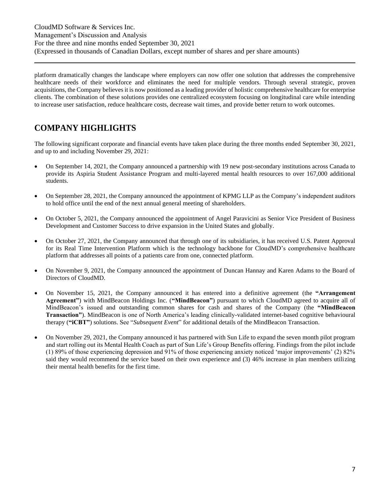platform dramatically changes the landscape where employers can now offer one solution that addresses the comprehensive healthcare needs of their workforce and eliminates the need for multiple vendors. Through several strategic, proven acquisitions, the Company believes it is now positioned as a leading provider of holistic comprehensive healthcare for enterprise clients. The combination of these solutions provides one centralized ecosystem focusing on longitudinal care while intending to increase user satisfaction, reduce healthcare costs, decrease wait times, and provide better return to work outcomes.

# <span id="page-6-0"></span>**COMPANY HIGHLIGHTS**

The following significant corporate and financial events have taken place during the three months ended September 30, 2021, and up to and including November 29, 2021:

- On September 14, 2021, the Company announced a partnership with 19 new post-secondary institutions across Canada to provide its Aspiria Student Assistance Program and multi-layered mental health resources to over 167,000 additional students.
- On September 28, 2021, the Company announced the appointment of KPMG LLP as the Company's independent auditors to hold office until the end of the next annual general meeting of shareholders.
- On October 5, 2021, the Company announced the appointment of Angel Paravicini as Senior Vice President of Business Development and Customer Success to drive expansion in the United States and globally.
- On October 27, 2021, the Company announced that through one of its subsidiaries, it has received U.S. Patent Approval for its Real Time Intervention Platform which is the technology backbone for CloudMD's comprehensive healthcare platform that addresses all points of a patients care from one, connected platform.
- On November 9, 2021, the Company announced the appointment of Duncan Hannay and Karen Adams to the Board of Directors of CloudMD.
- On November 15, 2021, the Company announced it has entered into a definitive agreement (the **"Arrangement Agreement"**) with MindBeacon Holdings Inc. (**"MindBeacon"**) pursuant to which CloudMD agreed to acquire all of MindBeacon's issued and outstanding common shares for cash and shares of the Company (the **"MindBeacon Transaction"**). MindBeacon is one of North America's leading clinically-validated internet-based cognitive behavioural therapy (**"iCBT"**) solutions. See "*Subsequent Event*" for additional details of the MindBeacon Transaction.
- On November 29, 2021, the Company announced it has partnered with Sun Life to expand the seven month pilot program and start rolling out its Mental Health Coach as part of Sun Life's Group Benefits offering. Findings from the pilot include (1) 89% of those experiencing depression and 91% of those experiencing anxiety noticed 'major improvements' (2) 82% said they would recommend the service based on their own experience and (3) 46% increase in plan members utilizing their mental health benefits for the first time.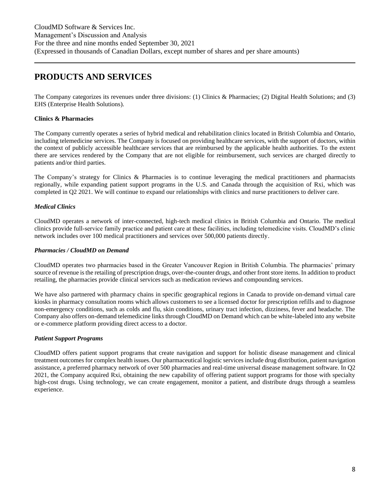# **PRODUCTS AND SERVICES**

The Company categorizes its revenues under three divisions: (1) Clinics & Pharmacies; (2) Digital Health Solutions; and (3) EHS (Enterprise Health Solutions).

### **Clinics & Pharmacies**

The Company currently operates a series of hybrid medical and rehabilitation clinics located in British Columbia and Ontario, including telemedicine services. The Company is focused on providing healthcare services, with the support of doctors, within the context of publicly accessible healthcare services that are reimbursed by the applicable health authorities. To the extent there are services rendered by the Company that are not eligible for reimbursement, such services are charged directly to patients and/or third parties.

The Company's strategy for Clinics & Pharmacies is to continue leveraging the medical practitioners and pharmacists regionally, while expanding patient support programs in the U.S. and Canada through the acquisition of Rxi, which was completed in Q2 2021. We will continue to expand our relationships with clinics and nurse practitioners to deliver care.

### *Medical Clinics*

CloudMD operates a network of inter-connected, high-tech medical clinics in British Columbia and Ontario. The medical clinics provide full-service family practice and patient care at these facilities, including telemedicine visits. CloudMD's clinic network includes over 100 medical practitioners and services over 500,000 patients directly.

### *Pharmacies / CloudMD on Demand*

CloudMD operates two pharmacies based in the Greater Vancouver Region in British Columbia. The pharmacies' primary source of revenue is the retailing of prescription drugs, over-the-counter drugs, and other front store items. In addition to product retailing, the pharmacies provide clinical services such as medication reviews and compounding services.

We have also partnered with pharmacy chains in specific geographical regions in Canada to provide on-demand virtual care kiosks in pharmacy consultation rooms which allows customers to see a licensed doctor for prescription refills and to diagnose non-emergency conditions, such as colds and flu, skin conditions, urinary tract infection, dizziness, fever and headache. The Company also offers on-demand telemedicine links through CloudMD on Demand which can be white-labeled into any website or e-commerce platform providing direct access to a doctor.

### *Patient Support Programs*

CloudMD offers patient support programs that create navigation and support for holistic disease management and clinical treatment outcomes for complex health issues. Our pharmaceutical logistic services include drug distribution, patient navigation assistance, a preferred pharmacy network of over 500 pharmacies and real-time universal disease management software. In Q2 2021, the Company acquired Rxi, obtaining the new capability of offering patient support programs for those with specialty high-cost drugs. Using technology, we can create engagement, monitor a patient, and distribute drugs through a seamless experience.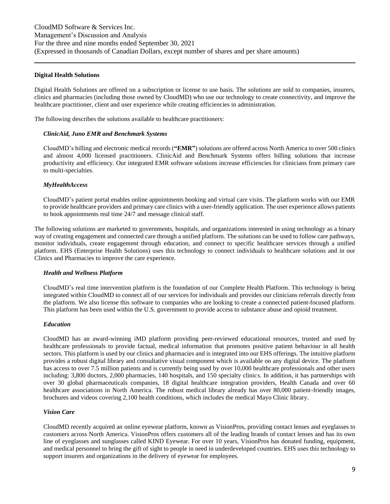#### **Digital Health Solutions**

Digital Health Solutions are offered on a subscription or license to use basis. The solutions are sold to companies, insurers, clinics and pharmacies (including those owned by CloudMD) who use our technology to create connectivity, and improve the healthcare practitioner, client and user experience while creating efficiencies in administration.

The following describes the solutions available to healthcare practitioners:

#### *ClinicAid, Juno EMR and Benchmark Systems*

CloudMD's billing and electronic medical records (**"EMR"**) solutions are offered across North America to over 500 clinics and almost 4,000 licensed practitioners. ClinicAid and Benchmark Systems offers billing solutions that increase productivity and efficiency. Our integrated EMR software solutions increase efficiencies for clinicians from primary care to multi-specialties.

#### *MyHealthAccess*

CloudMD's patient portal enables online appointments booking and virtual care visits. The platform works with our EMR to provide healthcare providers and primary care clinics with a user-friendly application. The user experience allows patients to book appointments real time 24/7 and message clinical staff.

The following solutions are marketed to governments, hospitals, and organizations interested in using technology as a binary way of creating engagement and connected care through a unified platform. The solutions can be used to follow care pathways, monitor individuals, create engagement through education, and connect to specific healthcare services through a unified platform. EHS (Enterprise Health Solutions) uses this technology to connect individuals to healthcare solutions and in our Clinics and Pharmacies to improve the care experience.

#### *Health and Wellness Platform*

CloudMD's real time intervention platform is the foundation of our Complete Health Platform. This technology is being integrated within CloudMD to connect all of our services for individuals and provides our clinicians referrals directly from the platform. We also license this software to companies who are looking to create a connected patient-focused platform. This platform has been used within the U.S. government to provide access to substance abuse and opioid treatment.

#### *Education*

CloudMD has an award-winning iMD platform providing peer-reviewed educational resources, trusted and used by healthcare professionals to provide factual, medical information that promotes positive patient behaviour in all health sectors. This platform is used by our clinics and pharmacies and is integrated into our EHS offerings. The intuitive platform provides a robust digital library and consultative visual component which is available on any digital device. The platform has access to over 7.5 million patients and is currently being used by over 10,000 healthcare professionals and other users including: 3,800 doctors, 2,000 pharmacies, 140 hospitals, and 150 specialty clinics. In addition, it has partnerships with over 30 global pharmaceuticals companies, 18 digital healthcare integration providers, Health Canada and over 60 healthcare associations in North America. The robust medical library already has over 80,000 patient-friendly images, brochures and videos covering 2,100 health conditions, which includes the medical Mayo Clinic library.

#### *Vision Care*

CloudMD recently acquired an online eyewear platform, known as VisionPros, providing contact lenses and eyeglasses to customers across North America. VisionPros offers customers all of the leading brands of contact lenses and has its own line of eyeglasses and sunglasses called KIND Eyewear. For over 10 years, VisionPros has donated funding, equipment, and medical personnel to bring the gift of sight to people in need in underdeveloped countries. EHS uses this technology to support insurers and organizations in the delivery of eyewear for employees.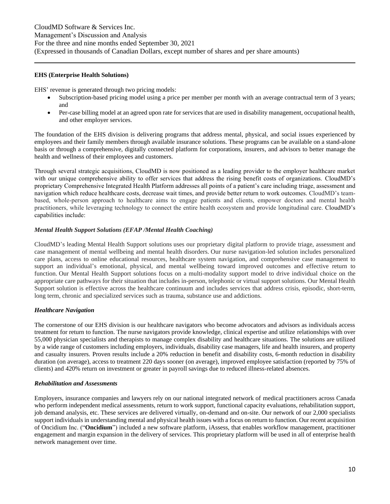### **EHS (Enterprise Health Solutions)**

EHS' revenue is generated through two pricing models:

- Subscription-based pricing model using a price per member per month with an average contractual term of 3 years; and
- Per-case billing model at an agreed upon rate for services that are used in disability management, occupational health, and other employer services.

The foundation of the EHS division is delivering programs that address mental, physical, and social issues experienced by employees and their family members through available insurance solutions. These programs can be available on a stand-alone basis or through a comprehensive, digitally connected platform for corporations, insurers, and advisors to better manage the health and wellness of their employees and customers.

Through several strategic acquisitions, CloudMD is now positioned as a leading provider to the employer healthcare market with our unique comprehensive ability to offer services that address the rising benefit costs of organizations. CloudMD's proprietary Comprehensive Integrated Health Platform addresses all points of a patient's care including triage, assessment and navigation which reduce healthcare costs, decrease wait times, and provide better return to work outcomes. CloudMD's teambased, whole-person approach to healthcare aims to engage patients and clients, empower doctors and mental health practitioners, while leveraging technology to connect the entire health ecosystem and provide longitudinal care. CloudMD's capabilities include:

### *Mental Health Support Solutions (EFAP /Mental Health Coaching)*

CloudMD's leading Mental Health Support solutions uses our proprietary digital platform to provide triage, assessment and case management of mental wellbeing and mental health disorders. Our nurse navigation-led solution includes personalized care plans, access to online educational resources, healthcare system navigation, and comprehensive case management to support an individual's emotional, physical, and mental wellbeing toward improved outcomes and effective return to function. Our Mental Health Support solutions focus on a multi-modality support model to drive individual choice on the appropriate care pathways for their situation that includes in-person, telephonic or virtual support solutions. Our Mental Health Support solution is effective across the healthcare continuum and includes services that address crisis, episodic, short-term, long term, chronic and specialized services such as trauma, substance use and addictions.

### *Healthcare Navigation*

The cornerstone of our EHS division is our healthcare navigators who become advocators and advisors as individuals access treatment for return to function. The nurse navigators provide knowledge, clinical expertise and utilize relationships with over 55,000 physician specialists and therapists to manage complex disability and healthcare situations. The solutions are utilized by a wide range of customers including employers, individuals, disability case managers, life and health insurers, and property and casualty insurers. Proven results include a 20% reduction in benefit and disability costs, 6-month reduction in disability duration (on average), access to treatment 220 days sooner (on average), improved employee satisfaction (reported by 75% of clients) and 420% return on investment or greater in payroll savings due to reduced illness-related absences.

#### *Rehabilitation and Assessments*

Employers, insurance companies and lawyers rely on our national integrated network of medical practitioners across Canada who perform independent medical assessments, return to work support, functional capacity evaluations, rehabilitation support, job demand analysis, etc. These services are delivered virtually, on-demand and on-site. Our network of our 2,000 specialists support individuals in understanding mental and physical health issues with a focus on return to function. Our recent acquisition of Oncidium Inc. ("**Oncidium**") included a new software platform, iAssess, that enables workflow management, practitioner engagement and margin expansion in the delivery of services. This proprietary platform will be used in all of enterprise health network management over time.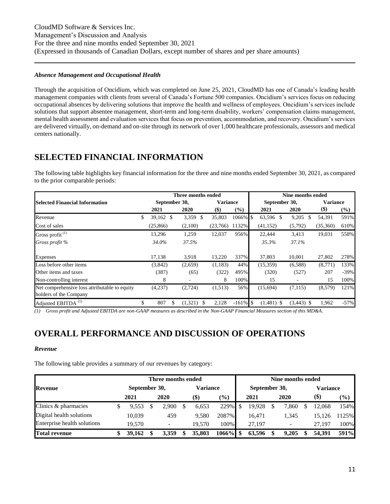### *Absence Management and Occupational Health*

Through the acquisition of Oncidium, which was completed on June 25, 2021, CloudMD has one of Canada's leading health management companies with clients from several of Canada's Fortune 500 companies. Oncidium's services focus on reducing occupational absences by delivering solutions that improve the health and wellness of employees. Oncidium's services include solutions that support absentee management, short-term and long-term disability, workers' compensation claims management, mental health assessment and evaluation services that focus on prevention, accommodation, and recovery. Oncidium's services are delivered virtually, on-demand and on-site through its network of over 1,000 healthcare professionals, assessors and medical centers nationally.

# <span id="page-10-0"></span>**SELECTED FINANCIAL INFORMATION**

The following table highlights key financial information for the three and nine months ended September 30, 2021, as compared to the prior comparable periods:

|                                                                         |                   | Three months ended |                 |             |                 | Nine months ended |                 |        |
|-------------------------------------------------------------------------|-------------------|--------------------|-----------------|-------------|-----------------|-------------------|-----------------|--------|
| <b>Selected Financial Information</b>                                   | September 30,     |                    | <b>Variance</b> |             | September 30,   |                   | <b>Variance</b> |        |
|                                                                         | 2021              | 2020               | $(\$)$          | $(\%)$      | 2021            | 2020              | $($ \$)         | $(\%)$ |
| Revenue                                                                 | \$<br>$39,162$ \$ | 3,359 \$           | 35,803          | 1066%       | \$<br>63,596 \$ | 9,205<br>\$.      | 54,391          | 591%   |
| Cost of sales                                                           | (25,866)          | (2,100)            | (23,766)        | 1132%       | (41, 152)       | (5,792)           | (35,360)        | 610%   |
| Gross profit <sup>(1)</sup>                                             | 13,296            | 1,259              | 12,037          | 956%        | 22,444          | 3,413             | 19,031          | 558%   |
| Gross profit %                                                          | 34.0%             | 37.5%              |                 |             | 35.3%           | 37.1%             |                 |        |
| Expenses                                                                | 17,138            | 3,918              | 13,220          | 337%        | 37,803          | 10.001            | 27,802          | 278%   |
| Loss before other items                                                 | (3,842)           | (2,659)            | (1,183)         | 44%         | (15,359)        | (6,588)           | (8,771)         | 133%   |
| Other items and taxes                                                   | (387)             | (65)               | (322)           | 495%        | (320)           | (527)             | 207             | $-39%$ |
| Non-controlling interest                                                | 8                 | ٠                  | 8               | 100%        | 15              |                   | 15              | 100%   |
| Net comprehensive loss attributable to equity<br>holders of the Company | (4,237)           | (2, 724)           | (1,513)         | 56%         | (15,694)        | (7,115)           | (8,579)         | 121%   |
| Adjusted EBITDA <sup>(1)</sup>                                          | \$<br>807         | \$<br>(1,321)      | 2,128           | $-161\%$ \$ | $(1,481)$ \$    | $(3,443)$ \$      | 1,962           | $-57%$ |

*(1) Gross profit and Adjusted EBITDA are non-GAAP measures as described in the Non-GAAP Financial Measures section of this MD&A.*

# <span id="page-10-1"></span>**OVERALL PERFORMANCE AND DISCUSSION OF OPERATIONS**

### *Revenue*

The following table provides a summary of our revenues by category:

|                             |               | Three months ended       |                           |          |                              | Nine months ended |               |      |       |      |                 |               |  |  |
|-----------------------------|---------------|--------------------------|---------------------------|----------|------------------------------|-------------------|---------------|------|-------|------|-----------------|---------------|--|--|
| <b>Revenue</b>              | September 30, |                          |                           | Variance |                              |                   | September 30, |      |       |      | <b>Variance</b> |               |  |  |
|                             | 2021          | 2020                     | $\left( \text{\$}\right)$ |          | $\left( \frac{0}{0} \right)$ | 2021              |               | 2020 |       | (\$) |                 | $\frac{9}{6}$ |  |  |
| Clinics & pharmacies        | 9.553         | 2.900                    |                           | 6,653    | 229%                         |                   | 19.928        |      | '.860 |      | 12.068          | 154%          |  |  |
| Digital health solutions    | 10.039        | 459                      |                           | 9,580    | 2087%                        |                   | 16.471        |      | 1,345 |      | 15,126          | 1125%         |  |  |
| Enterprise health solutions | 19.570        | $\overline{\phantom{a}}$ |                           | 19.570   | 100%                         |                   | 27.197        |      |       |      | 27.197          | 100%          |  |  |
| <b>Total revenue</b>        | 39,162        | 3.359                    |                           | 35,803   | 1066%                        |                   | 63,596        |      | 9.205 |      | 54.391          | 591%          |  |  |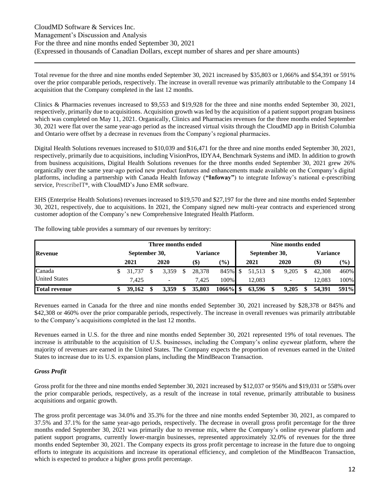Total revenue for the three and nine months ended September 30, 2021 increased by \$35,803 or 1,066% and \$54,391 or 591% over the prior comparable periods, respectively. The increase in overall revenue was primarily attributable to the Company 14 acquisition that the Company completed in the last 12 months.

Clinics & Pharmacies revenues increased to \$9,553 and \$19,928 for the three and nine months ended September 30, 2021, respectively, primarily due to acquisitions. Acquisition growth was led by the acquisition of a patient support program business which was completed on May 11, 2021. Organically, Clinics and Pharmacies revenues for the three months ended September 30, 2021 were flat over the same year-ago period as the increased virtual visits through the CloudMD app in British Columbia and Ontario were offset by a decrease in revenues from the Company's regional pharmacies.

Digital Health Solutions revenues increased to \$10,039 and \$16,471 for the three and nine months ended September 30, 2021, respectively, primarily due to acquisitions, including VisionPros, IDYA4, Benchmark Systems and iMD. In addition to growth from business acquisitions, Digital Health Solutions revenues for the three months ended September 30, 2021 grew 26% organically over the same year-ago period new product features and enhancements made available on the Company's digital platforms, including a partnership with Canada Health Infoway (**"Infoway"**) to integrate Infoway's national e-prescribing service, PrescribeIT**®**, with CloudMD's Juno EMR software.

EHS (Enterprise Health Solutions) revenues increased to \$19,570 and \$27,197 for the three and nine months ended September 30, 2021, respectively, due to acquisitions. In 2021, the Company signed new multi-year contracts and experienced strong customer adoption of the Company's new Comprehensive Integrated Health Platform.

|                      |               | Three months ended |  |                           |                              | Nine months ended |               |  |                          |  |                           |        |  |  |
|----------------------|---------------|--------------------|--|---------------------------|------------------------------|-------------------|---------------|--|--------------------------|--|---------------------------|--------|--|--|
| Revenue              | September 30, |                    |  | Variance                  |                              |                   | September 30, |  |                          |  | Variance                  |        |  |  |
|                      | 2021          | 2020               |  | $\left( \text{\$}\right)$ | $\left( \frac{0}{0} \right)$ | 2021              |               |  | 2020                     |  | $\left( \text{\$}\right)$ | $(\%)$ |  |  |
| Canada               | 31.737        | 3.359              |  | 28,378                    | 845% \$                      |                   | 51,513        |  | 9,205                    |  | 42,308                    | 460%   |  |  |
| <b>United States</b> | 7.425         |                    |  | 7.425                     | 100%                         |                   | 12.083        |  | $\overline{\phantom{a}}$ |  | 12.083                    | 100%   |  |  |
| <b>Total revenue</b> | 39.162        | 3.359              |  | 35,803                    | $1066\%$ \$                  |                   | 63,596        |  | 9,205                    |  | 54.391                    | 591%   |  |  |

The following table provides a summary of our revenues by territory:

Revenues earned in Canada for the three and nine months ended September 30, 2021 increased by \$28,378 or 845% and \$42,308 or 460% over the prior comparable periods, respectively. The increase in overall revenues was primarily attributable to the Company's acquisitions completed in the last 12 months.

Revenues earned in U.S. for the three and nine months ended September 30, 2021 represented 19% of total revenues. The increase is attributable to the acquisition of U.S. businesses, including the Company's online eyewear platform, where the majority of revenues are earned in the United States. The Company expects the proportion of revenues earned in the United States to increase due to its U.S. expansion plans, including the MindBeacon Transaction.

### *Gross Profit*

Gross profit for the three and nine months ended September 30, 2021 increased by \$12,037 or 956% and \$19,031 or 558% over the prior comparable periods, respectively, as a result of the increase in total revenue, primarily attributable to business acquisitions and organic growth.

The gross profit percentage was 34.0% and 35.3% for the three and nine months ended September 30, 2021, as compared to 37.5% and 37.1% for the same year-ago periods, respectively. The decrease in overall gross profit percentage for the three months ended September 30, 2021 was primarily due to revenue mix, where the Company's online eyewear platform and patient support programs, currently lower-margin businesses, represented approximately 32.0% of revenues for the three months ended September 30, 2021. The Company expects its gross profit percentage to increase in the future due to ongoing efforts to integrate its acquisitions and increase its operational efficiency, and completion of the MindBeacon Transaction, which is expected to produce a higher gross profit percentage.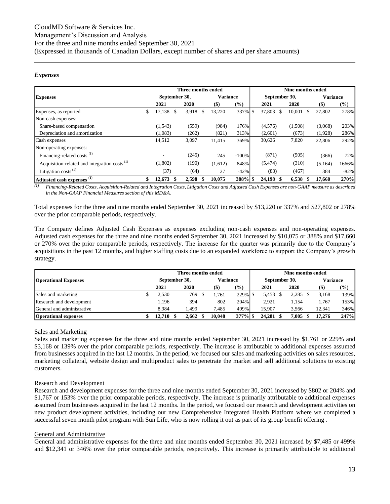### *Expenses*

|                                                          |    |               | Three months ended |                 |         |                         | <b>Nine months ended</b> |                 |        |
|----------------------------------------------------------|----|---------------|--------------------|-----------------|---------|-------------------------|--------------------------|-----------------|--------|
| <b>Expenses</b>                                          |    | September 30, |                    | <b>Variance</b> |         | September 30,           |                          | <b>Variance</b> |        |
|                                                          |    | 2021          | 2020               | $($ \$)         | (%)     | 2021                    | 2020                     | $($ \$          | (%)    |
| Expenses, as reported                                    | S  | 17,138 \$     | 3,918<br>\$        | 13,220          | 337% \$ | 37,803<br><sup>\$</sup> | 10,001                   | 27,802          | 278%   |
| Non-cash expenses:                                       |    |               |                    |                 |         |                         |                          |                 |        |
| Share-based compensation                                 |    | (1,543)       | (559)              | (984)           | 176%    | (4,576)                 | (1,508)                  | (3,068)         | 203%   |
| Depreciation and amortization                            |    | (1,083)       | (262)              | (821)           | 313%    | (2,601)                 | (673)                    | (1,928)         | 286%   |
| Cash expenses                                            |    | 14,512        | 3,097              | 11,415          | 369%    | 30,626                  | 7,820                    | 22,806          | 292%   |
| Non-operating expenses:                                  |    |               |                    |                 |         |                         |                          |                 |        |
| Financing-related costs <sup>(1)</sup>                   |    |               | (245)              | 245             | $-100%$ | (871)                   | (505)                    | (366)           | 72%    |
| Acquisition-related and integration costs <sup>(1)</sup> |    | (1,802)       | (190)              | (1,612)         | 848%    | (5, 474)                | (310)                    | (5,164)         | 1666%  |
| Litigation costs $^{(1)}$                                |    | (37)          | (64)               | 27              | $-42%$  | (83)                    | (467)                    | 384             | $-82%$ |
| Adjusted cash expenses <sup>(1)</sup>                    | \$ | 12.673 \$     | 2,598<br>\$        | 10.075          | 388% \$ | 24,198<br>-S            | 6,538                    | 17.660          | 270%   |

*(1) Financing-Related Costs, Acquisition-Related and Integration Costs, Litigation Costs and Adjusted Cash Expenses are non-GAAP measure as described in the Non-GAAP Financial Measures section of this MD&A.*

Total expenses for the three and nine months ended September 30, 2021 increased by \$13,220 or 337% and \$27,802 or 278% over the prior comparable periods, respectively.

The Company defines Adjusted Cash Expenses as expenses excluding non-cash expenses and non-operating expenses. Adjusted cash expenses for the three and nine months ended September 30, 2021 increased by \$10,075 or 388% and \$17,660 or 270% over the prior comparable periods, respectively. The increase for the quarter was primarily due to the Company's acquisitions in the past 12 months, and higher staffing costs due to an expanded workforce to support the Company's growth strategy.

|                             |           | Three months ended |         |                 | Nine months ended |               |       |                 |               |  |  |  |
|-----------------------------|-----------|--------------------|---------|-----------------|-------------------|---------------|-------|-----------------|---------------|--|--|--|
| <b>Operational Expenses</b> |           | September 30,      |         | <b>Variance</b> |                   | September 30, |       | <b>Variance</b> |               |  |  |  |
|                             | 2021      | 2020               | $(\$\)$ | (%)             |                   | 2021          | 2020  | <b>(\$)</b>     | $\frac{6}{2}$ |  |  |  |
| Sales and marketing         | 2.530     | 769                | .761    | 229% \$         |                   | 5,453         | 2.285 | 3.168           | 139%          |  |  |  |
| Research and development    | 1.196     | 394                | 802     | 204%            |                   | 2.921         | 1.154 | 1.767           | 153%          |  |  |  |
| General and administrative  | 8.984     | .499               | 7.485   | 499%            |                   | 15.907        | 3.566 | 12.341          | 346%          |  |  |  |
| <b>Operational expenses</b> | 12.710 \$ | 2.662              | 10,048  | $377\%$ \$      |                   | 24,281        | 7,005 | 17.276          | 247%          |  |  |  |

### Sales and Marketing

Sales and marketing expenses for the three and nine months ended September 30, 2021 increased by \$1,761 or 229% and \$3,168 or 139% over the prior comparable periods, respectively. The increase is attributable to additional expenses assumed from businesses acquired in the last 12 months. In the period, we focused our sales and marketing activities on sales resources, marketing collateral, website design and multiproduct sales to penetrate the market and sell additional solutions to existing customers.

### Research and Development

Research and development expenses for the three and nine months ended September 30, 2021 increased by \$802 or 204% and \$1,767 or 153% over the prior comparable periods, respectively. The increase is primarily attributable to additional expenses assumed from businesses acquired in the last 12 months. In the period, we focused our research and development activities on new product development activities, including our new Comprehensive Integrated Health Platform where we completed a successful seven month pilot program with Sun Life, who is now rolling it out as part of its group benefit offering .

### General and Administrative

General and administrative expenses for the three and nine months ended September 30, 2021 increased by \$7,485 or 499% and \$12,341 or 346% over the prior comparable periods, respectively. This increase is primarily attributable to additional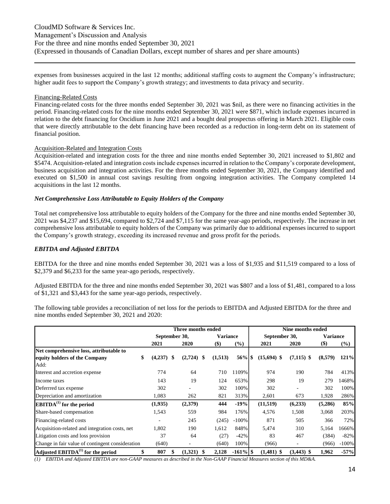expenses from businesses acquired in the last 12 months; additional staffing costs to augment the Company's infrastructure; higher audit fees to support the Company's growth strategy; and investments to data privacy and security.

#### Financing-Related Costs

Financing-related costs for the three months ended September 30, 2021 was \$nil, as there were no financing activities in the period. Financing-related costs for the nine months ended September 30, 2021 were \$871, which include expenses incurred in relation to the debt financing for Oncidium in June 2021 and a bought deal prospectus offering in March 2021. Eligible costs that were directly attributable to the debt financing have been recorded as a reduction in long-term debt on its statement of financial position.

#### Acquisition-Related and Integration Costs

Acquisition-related and integration costs for the three and nine months ended September 30, 2021 increased to \$1,802 and \$5474. Acquisition-related and integration costs include expenses incurred in relation to the Company's corporate development, business acquisition and integration activities. For the three months ended September 30, 2021, the Company identified and executed on \$1,500 in annual cost savings resulting from ongoing integration activities. The Company completed 14 acquisitions in the last 12 months.

### *Net Comprehensive Loss Attributable to Equity Holders of the Company*

Total net comprehensive loss attributable to equity holders of the Company for the three and nine months ended September 30, 2021 was \$4,237 and \$15,694, compared to \$2,724 and \$7,115 for the same year-ago periods, respectively. The increase in net comprehensive loss attributable to equity holders of the Company was primarily due to additional expenses incurred to support the Company's growth strategy, exceeding its increased revenue and gross profit for the periods.

#### *EBITDA and Adjusted EBITDA*

EBITDA for the three and nine months ended September 30, 2021 was a loss of \$1,935 and \$11,519 compared to a loss of \$2,379 and \$6,233 for the same year-ago periods, respectively.

Adjusted EBITDA for the three and nine months ended September 30, 2021 was \$807 and a loss of \$1,481, compared to a loss of \$1,321 and \$3,443 for the same year-ago periods, respectively.

The following table provides a reconciliation of net loss for the periods to EBITDA and Adjusted EBITDA for the three and nine months ended September 30, 2021 and 2020:

|                                                  |         |               | Three months ended |                 |             |               | Nine months ended |                 |         |  |  |
|--------------------------------------------------|---------|---------------|--------------------|-----------------|-------------|---------------|-------------------|-----------------|---------|--|--|
|                                                  |         | September 30, |                    | <b>Variance</b> |             | September 30, |                   | <b>Variance</b> |         |  |  |
|                                                  | 2021    |               | 2020               | $($ \$          | $(\%)$      | 2021          | 2020              | $($)$           | $(\%)$  |  |  |
| Net comprehensive loss, attributable to          |         |               |                    |                 |             |               |                   |                 |         |  |  |
| \$<br>equity holders of the Company              | (4,237) | S             | (2,724)            | (1,513)         |             | $(15,694)$ \$ | $(7,115)$ \$      | (8,579)         | 121%    |  |  |
| Add:                                             |         |               |                    |                 |             |               |                   |                 |         |  |  |
| Interest and accretion expense                   | 774     |               | 64                 | 710             | 1109%       | 974           | 190               | 784             | 413%    |  |  |
| Income taxes                                     | 143     |               | 19                 | 124             | 653%        | 298           | 19                | 279             | 1468%   |  |  |
| Deferrred tax expense                            | 302     |               |                    | 302             | 100%        | 302           |                   | 302             | 100%    |  |  |
| Depreciation and amortization                    | 1,083   |               | 262                | 821             | 313%        | 2,601         | 673               | 1,928           | 286%    |  |  |
| $\mathbf{EBITDA}^{(1)}$ for the period           | (1,935) |               | (2,379)            | 444             | $-19%$      | (11,519)      | (6,233)           | (5,286)         | 85%     |  |  |
| Share-based compensation                         | 1,543   |               | 559                | 984             | 176%        | 4,576         | 1,508             | 3,068           | 203%    |  |  |
| Financing-related costs                          |         |               | 245                | (245)           | $-100%$     | 871           | 505               | 366             | 72%     |  |  |
| Acquisition-related and integration costs, net   | 1,802   |               | 190                | 1,612           | 848%        | 5,474         | 310               | 5,164           | 1666%   |  |  |
| Litigation costs and loss provision              | 37      |               | 64                 | (27)            | $-42%$      | 83            | 467               | (384)           | $-82%$  |  |  |
| Change in fair value of contingent consideration | (640)   |               |                    | (640)           | 100%        | (966)         |                   | (966)           | $-100%$ |  |  |
| Adjusted $EBITDA(1)$ for the period<br>\$        | 807     |               | (1,321)            | 2,128           | $-161\%$ \$ | $(1,481)$ \$  | $(3,443)$ \$      | 1,962           | $-57%$  |  |  |

*(1) EBITDA and Adjusted EBITDA are non-GAAP measures as described in the Non-GAAP Financial Measures section of this MD&A.*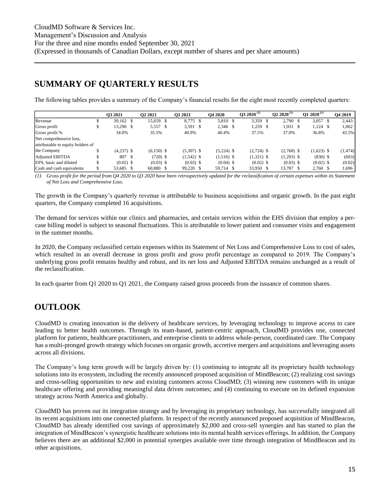### <span id="page-14-0"></span>**SUMMARY OF QUARTERLY RESULTS**

The following tables provides a summary of the Company's financial results for the eight most recently completed quarters:

|                                   | O3 2021      | O <sub>2</sub> 2021 | O1 2021      | <b>O4 2020</b> | $\bf{03}$ 2020 <sup>(1)</sup> | $Q22020^{(1)}$ | O1 2020 <sup>(1)</sup> | <b>O4 2019</b> |
|-----------------------------------|--------------|---------------------|--------------|----------------|-------------------------------|----------------|------------------------|----------------|
| Revenue                           | 39.162 S     | 15,659 \$           | 8,775 \$     | 5,810 \$       | 3,359 \$                      | 2.790 \$       | $3,057$ \$             | 2.443          |
| Gross profit                      | 13,296 \$    | 5,557 \$            | 3,591 \$     | 2,346 \$       | 1,259                         | $1,031$ \$     | $1,124$ \$             | 1,062          |
| Gross profit %                    | 34.0%        | 35.5%               | 40.9%        | 40.4%          | 37.5%                         | 37.0%          | 36.8%                  | 43.5%          |
| Net comprehensive loss,           |              |                     |              |                |                               |                |                        |                |
| attributable to equity holders of |              |                     |              |                |                               |                |                        |                |
| the Company                       | $(4,237)$ \$ | $(6,150)$ \$        | $(5,307)$ \$ | $(5,224)$ \$   | $(2,724)$ \$                  | $(2,768)$ \$   | $(1,623)$ \$           | (1, 474)       |
| <b>Adjusted EBITDA</b>            | 807 \$       | $(720)$ \$          | $(1,542)$ \$ | $(1,516)$ \$   | $(1,321)$ \$                  | $(1,293)$ \$   | $(830)$ \$             | (603)          |
| EPS, basic and diluted            | $(0.02)$ \$  | $(0.03)$ \$         | $(0.03)$ \$  | $(0.04)$ \$    | $(0.02)$ \$                   | $(0.03)$ \$    | $(0.02)$ \$            | (0.02)         |
| Cash and cash equivalents         | 53,685 \$    | 60,880 \$           | 99,220 \$    | 59,714 \$      | 33,950 \$                     | 13,787 \$      | $2,760$ \$             | 1,696          |

*(1) Gross profit for the period from Q4 2020 to Q3 2020 have been retrospectively updated for the reclassification of certain expenses within its Statement of Net Loss and Comprehensive Loss.*

The growth in the Company's quarterly revenue is attributable to business acquisitions and organic growth. In the past eight quarters, the Company completed 16 acquisitions.

The demand for services within our clinics and pharmacies, and certain services within the EHS division that employ a percase billing model is subject to seasonal fluctuations. This is attributable to lower patient and consumer visits and engagement in the summer months.

In 2020, the Company reclassified certain expenses within its Statement of Net Loss and Comprehensive Loss to cost of sales, which resulted in an overall decrease in gross profit and gross profit percentage as compared to 2019. The Company's underlying gross profit remains healthy and robust, and its net loss and Adjusted EBITDA remains unchanged as a result of the reclassification.

In each quarter from Q1 2020 to Q1 2021, the Company raised gross proceeds from the issuance of common shares.

# <span id="page-14-1"></span>**OUTLOOK**

CloudMD is creating innovation in the delivery of healthcare services, by leveraging technology to improve access to care leading to better health outcomes. Through its team-based, patient-centric approach, CloudMD provides one, connected platform for patients, healthcare practitioners, and enterprise clients to address whole-person, coordinated care. The Company has a multi-pronged growth strategy which focuses on organic growth, accretive mergers and acquisitions and leveraging assets across all divisions.

The Company's long term growth will be largely driven by: (1) continuing to integrate all its proprietary health technology solutions into its ecosystem, including the recently announced proposed acquisition of MindBeacon; (2) realizing cost savings and cross-selling opportunities to new and existing customers across CloudMD; (3) winning new customers with its unique healthcare offering and providing meaningful data driven outcomes; and (4) continuing to execute on its defined expansion strategy across North America and globally.

CloudMD has proven out its integration strategy and by leveraging its proprietary technology, has successfully integrated all its recent acquisitions into one connected platform. In respect of the recently announced proposed acquisition of MindBeacon, CloudMD has already identified cost savings of approximately \$2,000 and cross-sell synergies and has started to plan the integration of MindBeacon's synergistic healthcare solutions into its mental health services offerings. In addition, the Company believes there are an additional \$2,000 in potential synergies available over time through integration of MindBeacon and its other acquisitions.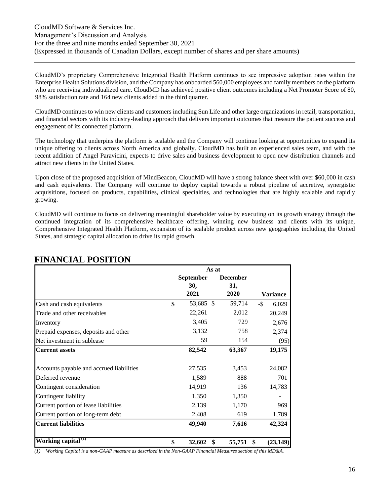CloudMD's proprietary Comprehensive Integrated Health Platform continues to see impressive adoption rates within the Enterprise Health Solutions division, and the Company has onboarded 560,000 employees and family members on the platform who are receiving individualized care. CloudMD has achieved positive client outcomes including a Net Promoter Score of 80, 98% satisfaction rate and 164 new clients added in the third quarter.

CloudMD continues to win new clients and customers including Sun Life and other large organizations in retail, transportation, and financial sectors with its industry-leading approach that delivers important outcomes that measure the patient success and engagement of its connected platform.

The technology that underpins the platform is scalable and the Company will continue looking at opportunities to expand its unique offering to clients across North America and globally. CloudMD has built an experienced sales team, and with the recent addition of Angel Paravicini, expects to drive sales and business development to open new distribution channels and attract new clients in the United States.

Upon close of the proposed acquisition of MindBeacon, CloudMD will have a strong balance sheet with over \$60,000 in cash and cash equivalents. The Company will continue to deploy capital towards a robust pipeline of accretive, synergistic acquisitions, focused on products, capabilities, clinical specialties, and technologies that are highly scalable and rapidly growing.

CloudMD will continue to focus on delivering meaningful shareholder value by executing on its growth strategy through the continued integration of its comprehensive healthcare offering, winning new business and clients with its unique, Comprehensive Integrated Health Platform, expansion of its scalable product across new geographies including the United States, and strategic capital allocation to drive its rapid growth.

|                                          | As at              |                 |                 |
|------------------------------------------|--------------------|-----------------|-----------------|
|                                          | <b>September</b>   | <b>December</b> |                 |
|                                          | 30,                | 31,             |                 |
|                                          | 2021               | 2020            | Variance        |
| Cash and cash equivalents                | \$<br>53,685 \$    | 59,714          | $-\$$<br>6,029  |
| Trade and other receivables              | 22,261             | 2,012           | 20,249          |
| Inventory                                | 3,405              | 729             | 2,676           |
| Prepaid expenses, deposits and other     | 3,132              | 758             | 2,374           |
| Net investment in sublease               | 59                 | 154             | (95)            |
| <b>Current assets</b>                    | 82,542             | 63,367          | 19,175          |
| Accounts payable and accrued liabilities | 27,535             | 3,453           | 24,082          |
| Deferred revenue                         | 1,589              | 888             | 701             |
| Contingent consideration                 | 14,919             | 136             | 14,783          |
| Contingent liability                     | 1,350              | 1,350           |                 |
| Current portion of lease liabilities     | 2,139              | 1,170           | 969             |
| Current portion of long-term debt        | 2,408              | 619             | 1,789           |
| <b>Current liabilities</b>               | 49,940             | 7,616           | 42,324          |
| Working capital <sup>(1)</sup>           | \$<br>32,602<br>\$ | 55,751          | \$<br>(23, 149) |

### <span id="page-15-0"></span>**FINANCIAL POSITION**

*(1) Working Capital is a non-GAAP measure as described in the Non-GAAP Financial Measures section of this MD&A.*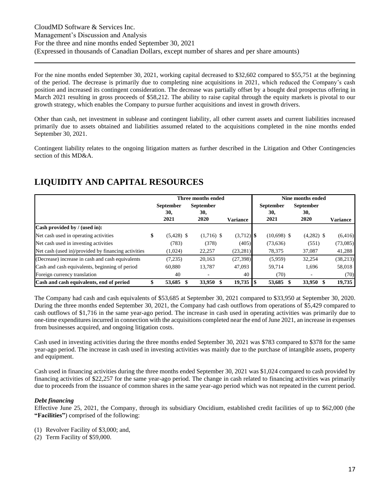For the nine months ended September 30, 2021, working capital decreased to \$32,602 compared to \$55,751 at the beginning of the period. The decrease is primarily due to completing nine acquisitions in 2021, which reduced the Company's cash position and increased its contingent consideration. The decrease was partially offset by a bought deal prospectus offering in March 2021 resulting in gross proceeds of \$58,212. The ability to raise capital through the equity markets is pivotal to our growth strategy, which enables the Company to pursue further acquisitions and invest in growth drivers.

Other than cash, net investment in sublease and contingent liability, all other current assets and current liabilities increased primarily due to assets obtained and liabilities assumed related to the acquisitions completed in the nine months ended September 30, 2021.

Contingent liability relates to the ongoing litigation matters as further described in the Litigation and Other Contingencies section of this MD&A.

### <span id="page-16-0"></span>**LIQUIDITY AND CAPITAL RESOURCES**

|                                                     |                    | Three months ended |                 |                  |               | Nine months ended |                 |
|-----------------------------------------------------|--------------------|--------------------|-----------------|------------------|---------------|-------------------|-----------------|
|                                                     | <b>September</b>   | <b>September</b>   |                 | <b>September</b> |               | <b>September</b>  |                 |
|                                                     | 30,<br>2021        | 30,<br>2020        | <b>Variance</b> | 30,<br>2021      |               | 30,<br>2020       | <b>Variance</b> |
| Cash provided by / (used in):                       |                    |                    |                 |                  |               |                   |                 |
| Net cash used in operating activities               | \$<br>$(5,428)$ \$ | $(1,716)$ \$       | $(3,712)$ \$    |                  | $(10,698)$ \$ | $(4,282)$ \$      | (6,416)         |
| Net cash used in investing activities               | (783)              | (378)              | (405)           |                  | (73, 636)     | (551)             | (73,085)        |
| Net cash (used in)/provided by financing activities | (1,024)            | 22,257             | (23, 281)       |                  | 78,375        | 37,087            | 41,288          |
| (Decrease) increase in cash and cash equivalents    | (7,235)            | 20,163             | (27, 398)       |                  | (5,959)       | 32,254            | (38,213)        |
| Cash and cash equivalents, beginning of period      | 60.880             | 13.787             | 47,093          |                  | 59.714        | 1,696             | 58,018          |
| Foreign currency translation                        | 40                 |                    | 40              |                  | (70)          |                   | (70)            |
| Cash and cash equivalents, end of period            | 53,685             | 33,950             | 19,735          | l \$             | 53,685        | 33,950            | 19,735          |

The Company had cash and cash equivalents of \$53,685 at September 30, 2021 compared to \$33,950 at September 30, 2020. During the three months ended September 30, 2021, the Company had cash outflows from operations of \$5,429 compared to cash outflows of \$1,716 in the same year-ago period. The increase in cash used in operating activities was primarily due to one-time expenditures incurred in connection with the acquisitions completed near the end of June 2021, an increase in expenses from businesses acquired, and ongoing litigation costs.

Cash used in investing activities during the three months ended September 30, 2021 was \$783 compared to \$378 for the same year-ago period. The increase in cash used in investing activities was mainly due to the purchase of intangible assets, property and equipment.

Cash used in financing activities during the three months ended September 30, 2021 was \$1,024 compared to cash provided by financing activities of \$22,257 for the same year-ago period. The change in cash related to financing activities was primarily due to proceeds from the issuance of common shares in the same year-ago period which was not repeated in the current period.

### *Debt financing*

Effective June 25, 2021, the Company, through its subsidiary Oncidium, established credit facilities of up to \$62,000 (the **"Facilities"**) comprised of the following:

- (1) Revolver Facility of \$3,000; and,
- (2) Term Facility of \$59,000.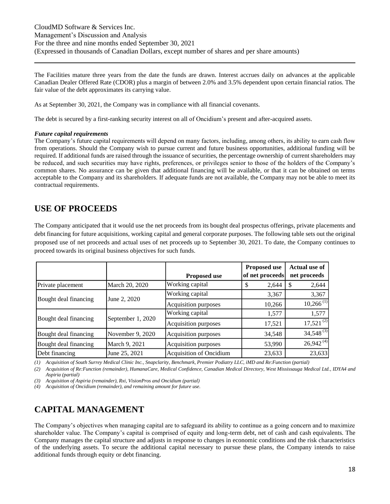The Facilities mature three years from the date the funds are drawn. Interest accrues daily on advances at the applicable Canadian Dealer Offered Rate (CDOR) plus a margin of between 2.0% and 3.5% dependent upon certain financial ratios. The fair value of the debt approximates its carrying value.

As at September 30, 2021, the Company was in compliance with all financial covenants.

The debt is secured by a first-ranking security interest on all of Oncidium's present and after-acquired assets.

#### *Future capital requirements*

The Company's future capital requirements will depend on many factors, including, among others, its ability to earn cash flow from operations. Should the Company wish to pursue current and future business opportunities, additional funding will be required. If additional funds are raised through the issuance of securities, the percentage ownership of current shareholders may be reduced, and such securities may have rights, preferences, or privileges senior to those of the holders of the Company's common shares. No assurance can be given that additional financing will be available, or that it can be obtained on terms acceptable to the Company and its shareholders. If adequate funds are not available, the Company may not be able to meet its contractual requirements.

### <span id="page-17-0"></span>**USE OF PROCEEDS**

The Company anticipated that it would use the net proceeds from its bought deal prospectus offerings, private placements and debt financing for future acquisitions, working capital and general corporate purposes. The following table sets out the original proposed use of net proceeds and actual uses of net proceeds up to September 30, 2021. To date, the Company continues to proceed towards its original business objectives for such funds.

|                       |                   | <b>Proposed use</b>            | <b>Proposed use</b><br>of net proceeds | <b>Actual use of</b><br>net proceeds |
|-----------------------|-------------------|--------------------------------|----------------------------------------|--------------------------------------|
| Private placement     | March 20, 2020    | Working capital                | 2,644<br>\$                            | 2,644                                |
|                       |                   | Working capital                | 3,367                                  | 3,367                                |
| Bought deal financing | June 2, 2020      | Acquisition purposes           | 10,266                                 | $10,266$ <sup>(1)</sup>              |
|                       |                   | Working capital                | 1,577                                  | 1,577                                |
| Bought deal financing | September 1, 2020 | Acquisition purposes           | 17,521                                 | $17,521$ <sup>(2)</sup>              |
| Bought deal financing | November 9, 2020  | Acquisition purposes           | 34,548                                 | $34,548^{(3)}$                       |
| Bought deal financing | March 9, 2021     | Acquisition purposes           | 53,990                                 | $26,942^{(4)}$                       |
| Debt financing        | June 25, 2021     | <b>Acquisition of Oncidium</b> | 23,633                                 | 23,633                               |

*(1) Acquisition of South Surrey Medical Clinic Inc., Snapclarity, Benchmark, Premier Podiatry LLC, iMD and Re:Function (partial)*

*(2) Acquisition of Re:Function (remainder), HumanaCare, Medical Confidence, Canadian Medical Directory, West Mississauga Medical Ltd., IDYA4 and Aspiria (partial)*

*(3) Acquisition of Aspiria (remainder), Rxi, VisionPros and Oncidium (partial)*

*(4) Acquisition of Oncidium (remainder), and remaining amount for future use.*

# <span id="page-17-1"></span>**CAPITAL MANAGEMENT**

The Company's objectives when managing capital are to safeguard its ability to continue as a going concern and to maximize shareholder value. The Company's capital is comprised of equity and long-term debt, net of cash and cash equivalents. The Company manages the capital structure and adjusts in response to changes in economic conditions and the risk characteristics of the underlying assets. To secure the additional capital necessary to pursue these plans, the Company intends to raise additional funds through equity or debt financing.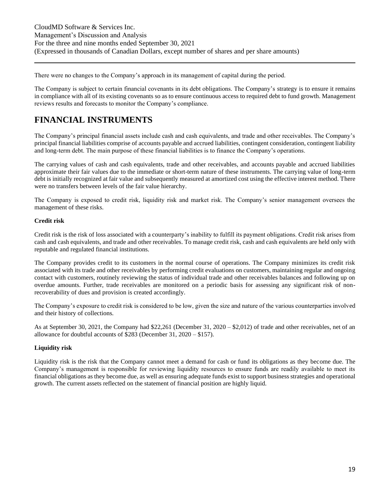There were no changes to the Company's approach in its management of capital during the period.

The Company is subject to certain financial covenants in its debt obligations. The Company's strategy is to ensure it remains in compliance with all of its existing covenants so as to ensure continuous access to required debt to fund growth. Management reviews results and forecasts to monitor the Company's compliance.

# <span id="page-18-0"></span>**FINANCIAL INSTRUMENTS**

The Company's principal financial assets include cash and cash equivalents, and trade and other receivables. The Company's principal financial liabilities comprise of accounts payable and accrued liabilities, contingent consideration, contingent liability and long-term debt. The main purpose of these financial liabilities is to finance the Company's operations.

The carrying values of cash and cash equivalents, trade and other receivables, and accounts payable and accrued liabilities approximate their fair values due to the immediate or short-term nature of these instruments. The carrying value of long-term debt is initially recognized at fair value and subsequently measured at amortized cost using the effective interest method. There were no transfers between levels of the fair value hierarchy.

The Company is exposed to credit risk, liquidity risk and market risk. The Company's senior management oversees the management of these risks.

### **Credit risk**

Credit risk is the risk of loss associated with a counterparty's inability to fulfill its payment obligations. Credit risk arises from cash and cash equivalents, and trade and other receivables. To manage credit risk, cash and cash equivalents are held only with reputable and regulated financial institutions.

The Company provides credit to its customers in the normal course of operations. The Company minimizes its credit risk associated with its trade and other receivables by performing credit evaluations on customers, maintaining regular and ongoing contact with customers, routinely reviewing the status of individual trade and other receivables balances and following up on overdue amounts. Further, trade receivables are monitored on a periodic basis for assessing any significant risk of nonrecoverability of dues and provision is created accordingly.

The Company's exposure to credit risk is considered to be low, given the size and nature of the various counterparties involved and their history of collections.

As at September 30, 2021, the Company had \$22,261 (December 31, 2020 – \$2,012) of trade and other receivables, net of an allowance for doubtful accounts of \$283 (December 31, 2020 – \$157).

### **Liquidity risk**

Liquidity risk is the risk that the Company cannot meet a demand for cash or fund its obligations as they become due. The Company's management is responsible for reviewing liquidity resources to ensure funds are readily available to meet its financial obligations as they become due, as well as ensuring adequate funds exist to support business strategies and operational growth. The current assets reflected on the statement of financial position are highly liquid.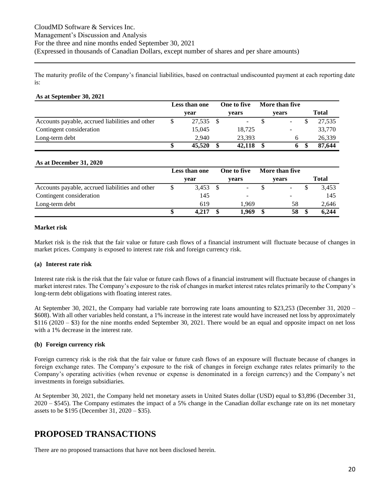The maturity profile of the Company's financial liabilities, based on contractual undiscounted payment at each reporting date is:

#### **As at September 30, 2021**

|                                                 | Less than one |        |  | One to five | More than five           |        |
|-------------------------------------------------|---------------|--------|--|-------------|--------------------------|--------|
|                                                 |               | vear   |  | vears       | vears                    | Total  |
| Accounts payable, accrued liabilities and other |               | 27.535 |  |             | $\overline{\phantom{0}}$ | 27.535 |
| Contingent consideration                        |               | 15.045 |  | 18,725      |                          | 33,770 |
| Long-term debt                                  |               | 2.940  |  | 23.393      | O                        | 26,339 |
|                                                 |               | 45,520 |  | 42,118      |                          | 87.644 |

#### **As at December 31, 2020**

|                                                 | Less than one | One to five | More than five |              |
|-------------------------------------------------|---------------|-------------|----------------|--------------|
|                                                 | vear          | vears       | vears          | <b>Total</b> |
| Accounts payable, accrued liabilities and other | 3,453         | $\sim$      | $\blacksquare$ | 3,453        |
| Contingent consideration                        | 145           | -           |                | 145          |
| Long-term debt                                  | 619           | 1.969       | 58             | 2,646        |
|                                                 | 4.217         | 1.969       | 58             | 6.244        |

#### **Market risk**

Market risk is the risk that the fair value or future cash flows of a financial instrument will fluctuate because of changes in market prices. Company is exposed to interest rate risk and foreign currency risk.

#### **(a) Interest rate risk**

Interest rate risk is the risk that the fair value or future cash flows of a financial instrument will fluctuate because of changes in market interest rates. The Company's exposure to the risk of changes in market interest rates relates primarily to the Company's long-term debt obligations with floating interest rates.

At September 30, 2021, the Company had variable rate borrowing rate loans amounting to \$23,253 (December 31, 2020 – \$608). With all other variables held constant, a 1% increase in the interest rate would have increased net loss by approximately  $$116 (2020 - $3)$  for the nine months ended September 30, 2021. There would be an equal and opposite impact on net loss with a 1% decrease in the interest rate.

#### **(b) Foreign currency risk**

Foreign currency risk is the risk that the fair value or future cash flows of an exposure will fluctuate because of changes in foreign exchange rates. The Company's exposure to the risk of changes in foreign exchange rates relates primarily to the Company's operating activities (when revenue or expense is denominated in a foreign currency) and the Company's net investments in foreign subsidiaries.

At September 30, 2021, the Company held net monetary assets in United States dollar (USD) equal to \$3,896 (December 31, 2020 – \$545). The Company estimates the impact of a 5% change in the Canadian dollar exchange rate on its net monetary assets to be \$195 (December 31, 2020 – \$35).

### <span id="page-19-0"></span>**PROPOSED TRANSACTIONS**

There are no proposed transactions that have not been disclosed herein.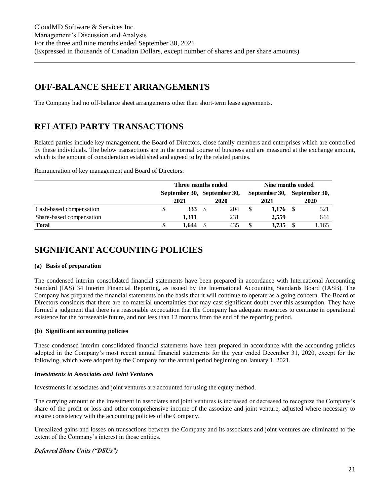# <span id="page-20-0"></span>**OFF-BALANCE SHEET ARRANGEMENTS**

The Company had no off-balance sheet arrangements other than short-term lease agreements.

# <span id="page-20-1"></span>**RELATED PARTY TRANSACTIONS**

Related parties include key management, the Board of Directors, close family members and enterprises which are controlled by these individuals. The below transactions are in the normal course of business and are measured at the exchange amount, which is the amount of consideration established and agreed to by the related parties.

Remuneration of key management and Board of Directors:

|                          | Three months ended          |  |      |    | Nine months ended |  |                             |  |
|--------------------------|-----------------------------|--|------|----|-------------------|--|-----------------------------|--|
|                          | September 30, September 30, |  |      |    |                   |  | September 30, September 30, |  |
|                          | 2021                        |  | 2020 |    | 2021              |  | 2020                        |  |
| Cash-based compensation  | <b>333</b>                  |  | 204  | \$ | 1,176             |  | 521                         |  |
| Share-based compensation | 1.311                       |  | 231  |    | 2.559             |  | 644                         |  |
| Total                    | 1.644                       |  | 435  | \$ | 3.735             |  | 1.165                       |  |

### <span id="page-20-2"></span>**SIGNIFICANT ACCOUNTING POLICIES**

### **(a) Basis of preparation**

The condensed interim consolidated financial statements have been prepared in accordance with International Accounting Standard (IAS) 34 Interim Financial Reporting, as issued by the International Accounting Standards Board (IASB). The Company has prepared the financial statements on the basis that it will continue to operate as a going concern. The Board of Directors considers that there are no material uncertainties that may cast significant doubt over this assumption. They have formed a judgment that there is a reasonable expectation that the Company has adequate resources to continue in operational existence for the foreseeable future, and not less than 12 months from the end of the reporting period.

### **(b) Significant accounting policies**

These condensed interim consolidated financial statements have been prepared in accordance with the accounting policies adopted in the Company's most recent annual financial statements for the year ended December 31, 2020, except for the following, which were adopted by the Company for the annual period beginning on January 1, 2021.

### *Investments in Associates and Joint Ventures*

Investments in associates and joint ventures are accounted for using the equity method.

The carrying amount of the investment in associates and joint ventures is increased or decreased to recognize the Company's share of the profit or loss and other comprehensive income of the associate and joint venture, adjusted where necessary to ensure consistency with the accounting policies of the Company.

Unrealized gains and losses on transactions between the Company and its associates and joint ventures are eliminated to the extent of the Company's interest in those entities.

### *Deferred Share Units ("DSUs")*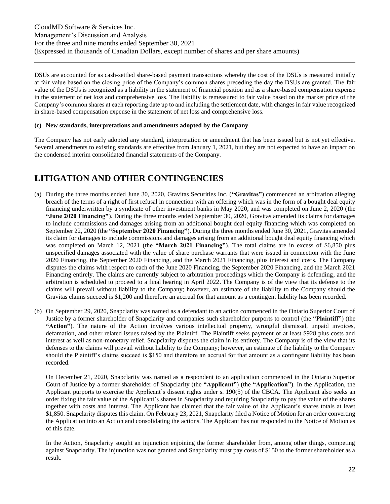DSUs are accounted for as cash-settled share-based payment transactions whereby the cost of the DSUs is measured initially at fair value based on the closing price of the Company's common shares preceding the day the DSUs are granted. The fair value of the DSUs is recognized as a liability in the statement of financial position and as a share-based compensation expense in the statement of net loss and comprehensive loss. The liability is remeasured to fair value based on the market price of the Company's common shares at each reporting date up to and including the settlement date, with changes in fair value recognized in share-based compensation expense in the statement of net loss and comprehensive loss.

#### **(c) New standards, interpretations and amendments adopted by the Company**

The Company has not early adopted any standard, interpretation or amendment that has been issued but is not yet effective. Several amendments to existing standards are effective from January 1, 2021, but they are not expected to have an impact on the condensed interim consolidated financial statements of the Company.

### <span id="page-21-0"></span>**LITIGATION AND OTHER CONTINGENCIES**

- (a) During the three months ended June 30, 2020, Gravitas Securities Inc. (**"Gravitas"**) commenced an arbitration alleging breach of the terms of a right of first refusal in connection with an offering which was in the form of a bought deal equity financing underwritten by a syndicate of other investment banks in May 2020, and was completed on June 2, 2020 (the **"June 2020 Financing"**). During the three months ended September 30, 2020, Gravitas amended its claims for damages to include commissions and damages arising from an additional bought deal equity financing which was completed on September 22, 2020 (the **"September 2020 Financing"**). During the three months ended June 30, 2021, Gravitas amended its claim for damages to include commissions and damages arising from an additional bought deal equity financing which was completed on March 12, 2021 (the **"March 2021 Financing"**). The total claims are in excess of \$6,850 plus unspecified damages associated with the value of share purchase warrants that were issued in connection with the June 2020 Financing, the September 2020 Financing, and the March 2021 Financing, plus interest and costs. The Company disputes the claims with respect to each of the June 2020 Financing, the September 2020 Financing, and the March 2021 Financing entirely. The claims are currently subject to arbitration proceedings which the Company is defending, and the arbitration is scheduled to proceed to a final hearing in April 2022. The Company is of the view that its defense to the claims will prevail without liability to the Company; however, an estimate of the liability to the Company should the Gravitas claims succeed is \$1,200 and therefore an accrual for that amount as a contingent liability has been recorded.
- (b) On September 29, 2020, Snapclarity was named as a defendant to an action commenced in the Ontario Superior Court of Justice by a former shareholder of Snapclarity and companies such shareholder purports to control (the **"Plaintiff"**) (the **"Action"**). The nature of the Action involves various intellectual property, wrongful dismissal, unpaid invoices, defamation, and other related issues raised by the Plaintiff. The Plaintiff seeks payment of at least \$928 plus costs and interest as well as non-monetary relief. Snapclarity disputes the claim in its entirety. The Company is of the view that its defenses to the claims will prevail without liability to the Company; however, an estimate of the liability to the Company should the Plaintiff's claims succeed is \$150 and therefore an accrual for that amount as a contingent liability has been recorded.

On December 21, 2020, Snapclarity was named as a respondent to an application commenced in the Ontario Superior Court of Justice by a former shareholder of Snapclarity (the **"Applicant"**) (the **"Application"**). In the Application, the Applicant purports to exercise the Applicant's dissent rights under s. 190(5) of the CBCA. The Applicant also seeks an order fixing the fair value of the Applicant's shares in Snapclarity and requiring Snapclarity to pay the value of the shares together with costs and interest. The Applicant has claimed that the fair value of the Applicant's shares totals at least \$1,850. Snapclarity disputes this claim. On February 23, 2021, Snapclarity filed a Notice of Motion for an order converting the Application into an Action and consolidating the actions. The Applicant has not responded to the Notice of Motion as of this date.

In the Action, Snapclarity sought an injunction enjoining the former shareholder from, among other things, competing against Snapclarity. The injunction was not granted and Snapclarity must pay costs of \$150 to the former shareholder as a result.